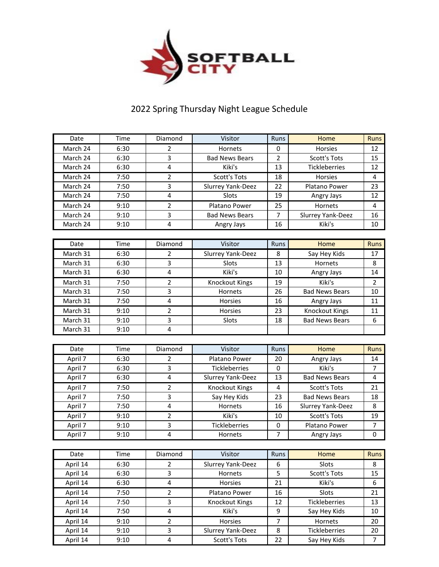

## 2022 Spring Thursday Night League Schedule

| Date     | Time | Diamond                 | Visitor                  | Runs           | Home                  | <b>Runs</b>    |
|----------|------|-------------------------|--------------------------|----------------|-----------------------|----------------|
| March 24 | 6:30 | $\overline{2}$          | Hornets                  | 0              | Horsies               | 12             |
| March 24 | 6:30 | 3                       | <b>Bad News Bears</b>    | $\overline{2}$ | <b>Scott's Tots</b>   | 15             |
| March 24 | 6:30 | $\overline{4}$          | Kiki's                   | 13             | Tickleberries         | 12             |
| March 24 | 7:50 | $\overline{2}$          | <b>Scott's Tots</b>      | 18             | <b>Horsies</b>        | 4              |
| March 24 | 7:50 | 3                       | Slurrey Yank-Deez        | 22             | Platano Power         | 23             |
| March 24 | 7:50 | 4                       | Slots                    | 19             | Angry Jays            | 12             |
| March 24 | 9:10 | $\overline{2}$          | <b>Platano Power</b>     | 25             | Hornets               | 4              |
| March 24 | 9:10 | 3                       | <b>Bad News Bears</b>    | $\overline{7}$ | Slurrey Yank-Deez     | 16             |
| March 24 | 9:10 | $\overline{\mathbf{4}}$ | Angry Jays               | 16             | Kiki's                | 10             |
|          |      |                         |                          |                |                       |                |
| Date     | Time | Diamond                 | Visitor                  | Runs           | Home                  | <b>Runs</b>    |
| March 31 | 6:30 | 2                       | Slurrey Yank-Deez        | 8              | Say Hey Kids          | 17             |
| March 31 | 6:30 | 3                       | Slots                    | 13             | Hornets               | 8              |
| March 31 | 6:30 | $\overline{\mathbf{4}}$ | Kiki's                   | 10             | Angry Jays            | 14             |
| March 31 | 7:50 | $\overline{2}$          | Knockout Kings           | 19             | Kiki's                | $\overline{2}$ |
| March 31 | 7:50 | 3                       | Hornets                  | 26             | <b>Bad News Bears</b> | 10             |
| March 31 | 7:50 | $\overline{4}$          | <b>Horsies</b>           | 16             | Angry Jays            | 11             |
| March 31 | 9:10 | $\overline{2}$          | Horsies                  | 23             | Knockout Kings        | 11             |
| March 31 | 9:10 | 3                       | Slots                    | 18             | <b>Bad News Bears</b> | 6              |
| March 31 | 9:10 | $\overline{\mathbf{4}}$ |                          |                |                       |                |
|          |      |                         |                          |                |                       |                |
|          |      |                         |                          |                |                       |                |
| Date     | Time | Diamond                 | Visitor                  | Runs           | Home                  | <b>Runs</b>    |
| April 7  | 6:30 | 2                       | Platano Power            | 20             | Angry Jays            | 14             |
| April 7  | 6:30 | 3                       | <b>Tickleberries</b>     | 0              | Kiki's                | $\overline{7}$ |
| April 7  | 6:30 | $\overline{\mathbf{4}}$ | Slurrey Yank-Deez        | 13             | <b>Bad News Bears</b> | $\overline{4}$ |
| April 7  | 7:50 | $\overline{2}$          | Knockout Kings           | 4              | <b>Scott's Tots</b>   | 21             |
| April 7  | 7:50 | 3                       | Say Hey Kids             | 23             | <b>Bad News Bears</b> | 18             |
| April 7  | 7:50 | 4                       | Hornets                  | 16             | Slurrey Yank-Deez     | 8              |
| April 7  | 9:10 | 2                       | Kiki's                   | 10             | Scott's Tots          | 19             |
| April 7  | 9:10 | 3                       | Tickleberries            | 0              | Platano Power         | 7              |
| April 7  | 9:10 | 4                       | Hornets                  | 7              | Angry Jays            | 0              |
|          |      |                         |                          |                |                       |                |
| Date     | Time | Diamond                 | Visitor                  | Runs           | Home                  | Runs           |
| April 14 | 6:30 | 2                       | <b>Slurrey Yank-Deez</b> | 6              | Slots                 | 8              |
| April 14 | 6:30 | 3                       | Hornets                  | 5              | <b>Scott's Tots</b>   | 15             |
| April 14 | 6:30 | $\overline{\mathbf{4}}$ | Horsies                  | 21             | Kiki's                | 6              |
| April 14 | 7:50 | $\overline{2}$          | Platano Power            | 16             | Slots                 | 21             |
| April 14 | 7:50 | 3                       | Knockout Kings           | 12             | Tickleberries         | 13             |
| April 14 | 7:50 | 4                       | Kiki's                   | 9              | Say Hey Kids          | 10             |
| April 14 | 9:10 | $\overline{2}$          | Horsies                  | $\overline{7}$ | Hornets               | 20             |
| April 14 | 9:10 | 3                       | Slurrey Yank-Deez        | 8              | Tickleberries         | 20             |